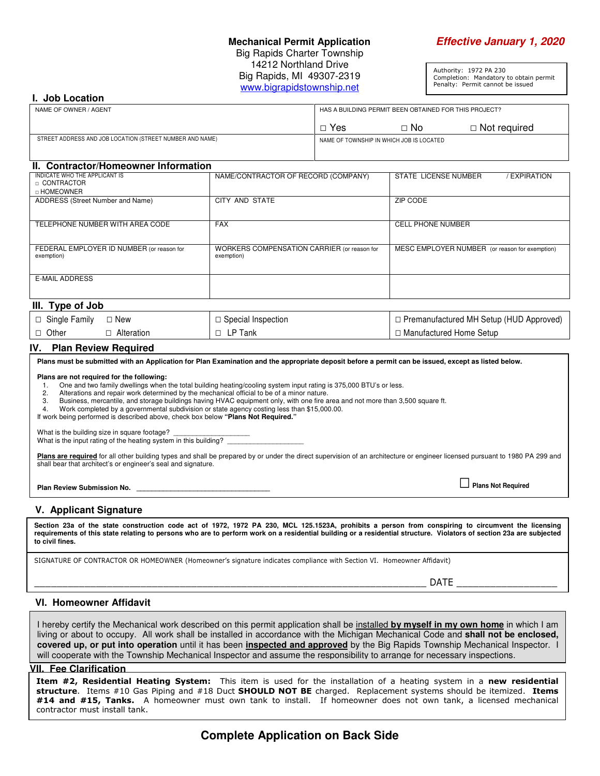### **Mechanical Permit Application Effective January 1, 2020** Big Rapids Charter Township 14212 Northland Drive Big Rapids, MI 49307-2319 www.bigrapidstownship.net

Authority: 1972 PA 230 Completion: Mandatory to obtain permit Penalty: Permit cannot be issued

#### **I. Job Location**

| NAME OF OWNER / AGENT                                    | HAS A BUILDING PERMIT BEEN OBTAINED FOR THIS PROJECT? |           |                |
|----------------------------------------------------------|-------------------------------------------------------|-----------|----------------|
|                                                          | Yes                                                   | $\Box$ No | □ Not required |
| STREET ADDRESS AND JOB LOCATION (STREET NUMBER AND NAME) | NAME OF TOWNSHIP IN WHICH JOB IS LOCATED              |           |                |
|                                                          |                                                       |           |                |

#### **II. Contractor/Homeowner Information**

| INDICATE WHO THE APPLICANT IS<br>□ CONTRACTOR           | NAME/CONTRACTOR OF RECORD (COMPANY)                       | STATE LICENSE NUMBER<br><b>EXPIRATION</b>      |
|---------------------------------------------------------|-----------------------------------------------------------|------------------------------------------------|
| □ HOMEOWNER                                             |                                                           |                                                |
| ADDRESS (Street Number and Name)                        | CITY AND STATE                                            | ZIP CODE                                       |
|                                                         |                                                           |                                                |
| TELEPHONE NUMBER WITH AREA CODE                         | <b>FAX</b>                                                | <b>CELL PHONE NUMBER</b>                       |
|                                                         |                                                           |                                                |
| FEDERAL EMPLOYER ID NUMBER (or reason for<br>exemption) | WORKERS COMPENSATION CARRIER (or reason for<br>exemption) | MESC EMPLOYER NUMBER (or reason for exemption) |
|                                                         |                                                           |                                                |
|                                                         |                                                           |                                                |
| <b>E-MAIL ADDRESS</b>                                   |                                                           |                                                |
|                                                         |                                                           |                                                |
| III. Type of Job                                        |                                                           |                                                |
|                                                         |                                                           |                                                |

| $ \square$ Single Family $\square$ New |              | $\Box$ Special Inspection | □ Premanufactured MH Setup (HUD Approved) |
|----------------------------------------|--------------|---------------------------|-------------------------------------------|
| $\Box$ Other                           | □ Alteration | $\Box$ LP Tank            | □ Manufactured Home Setup                 |

#### **IV. Plan Review Required**

| Plans must be submitted with an Application for Plan Examination and the appropriate deposit before a permit can be issued, except as listed below.                                                                                                                                                                                                                                                                                                                                                             |                           |  |  |  |  |
|-----------------------------------------------------------------------------------------------------------------------------------------------------------------------------------------------------------------------------------------------------------------------------------------------------------------------------------------------------------------------------------------------------------------------------------------------------------------------------------------------------------------|---------------------------|--|--|--|--|
| Plans are not required for the following:<br>One and two family dwellings when the total building heating/cooling system input rating is 375,000 BTU's or less.<br>Alterations and repair work determined by the mechanical official to be of a minor nature.<br>2.<br>Business, mercantile, and storage buildings having HVAC equipment only, with one fire area and not more than 3,500 square ft.<br>З.<br>Work completed by a governmental subdivision or state agency costing less than \$15,000.00.<br>4. |                           |  |  |  |  |
| If work being performed is described above, check box below "Plans Not Required."<br>What is the building size in square footage?<br>What is the input rating of the heating system in this building?                                                                                                                                                                                                                                                                                                           |                           |  |  |  |  |
| Plans are required for all other building types and shall be prepared by or under the direct supervision of an architecture or engineer licensed pursuant to 1980 PA 299 and<br>shall bear that architect's or engineer's seal and signature.                                                                                                                                                                                                                                                                   |                           |  |  |  |  |
| Plan Review Submission No.                                                                                                                                                                                                                                                                                                                                                                                                                                                                                      | $\Box$ Plans Not Required |  |  |  |  |

#### **V. Applicant Signature**

**Section 23a of the state construction code act of 1972, 1972 PA 230, MCL 125.1523A, prohibits a person from conspiring to circumvent the licensing requirements of this state relating to persons who are to perform work on a residential building or a residential structure. Violators of section 23a are subjected to civil fines.** 

SIGNATURE OF CONTRACTOR OR HOMEOWNER (Homeowner's signature indicates compliance with Section VI. Homeowner Affidavit)

\_\_\_\_\_\_\_\_\_\_\_\_\_\_\_\_\_\_\_\_\_\_\_\_\_\_\_\_\_\_\_\_\_\_\_\_\_\_\_\_\_\_\_\_\_\_\_\_\_\_\_\_\_\_\_\_\_\_\_\_\_\_\_\_\_\_\_\_\_\_ DATE \_\_\_\_\_\_\_\_\_\_\_\_\_\_\_\_\_\_

#### **VI. Homeowner Affidavit**

I hereby certify the Mechanical work described on this permit application shall be installed **by myself in my own home** in which I am living or about to occupy. All work shall be installed in accordance with the Michigan Mechanical Code and **shall not be enclosed, covered up, or put into operation** until it has been **inspected and approved** by the Big Rapids Township Mechanical Inspector. I will cooperate with the Township Mechanical Inspector and assume the responsibility to arrange for necessary inspections.

#### **VII. Fee Clarification**

Item #2, Residential Heating System: This item is used for the installation of a heating system in a new residential structure. Items #10 Gas Piping and #18 Duct SHOULD NOT BE charged. Replacement systems should be itemized. Items #14 and #15, Tanks. A homeowner must own tank to install. If homeowner does not own tank, a licensed mechanical contractor must install tank.